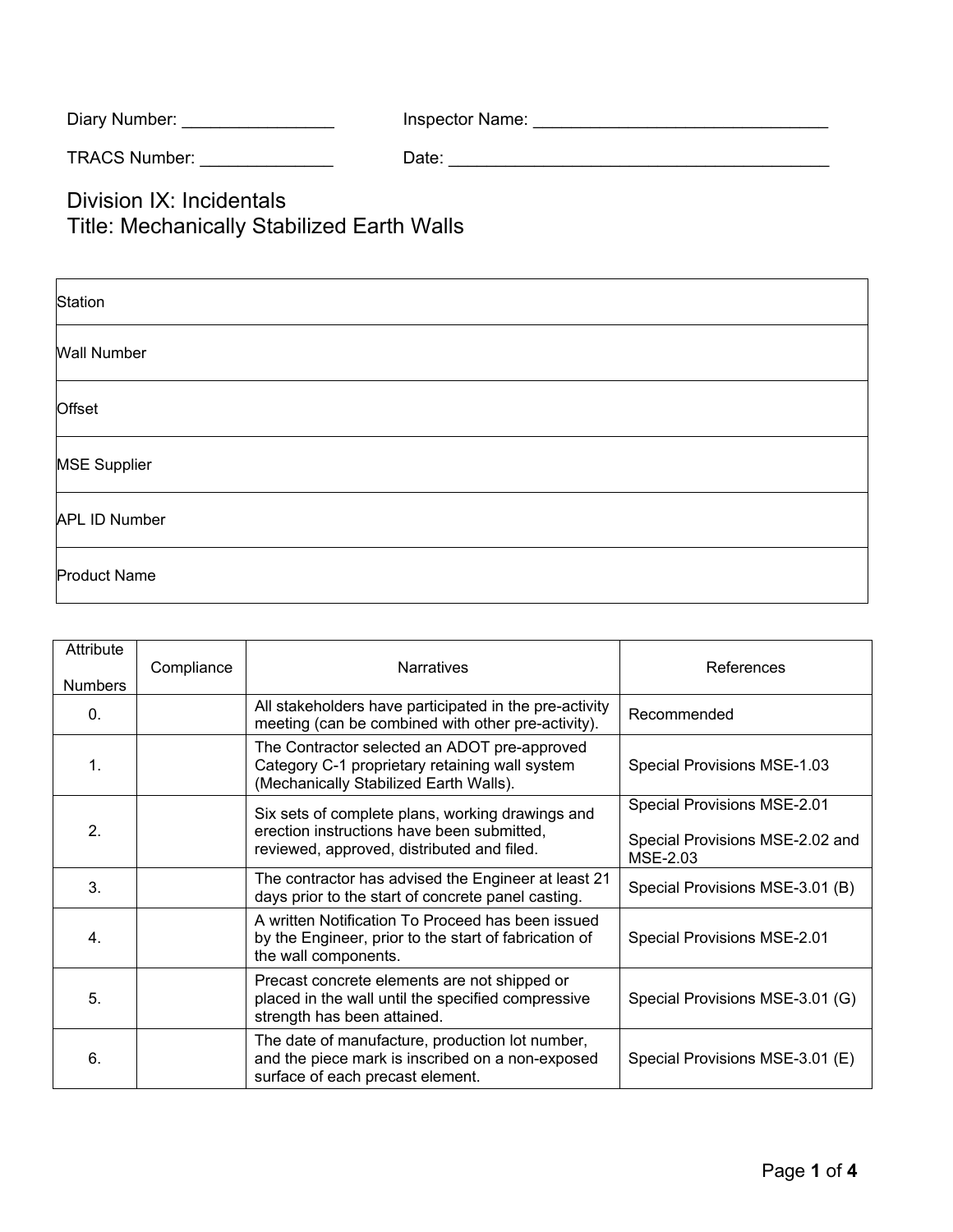| Inspector Name: |
|-----------------|
|                 |

TRACS Number: \_\_\_\_\_\_\_\_\_\_\_\_\_\_ Date: \_\_\_\_\_\_\_\_\_\_\_\_\_\_\_\_\_\_\_\_\_\_\_\_\_\_\_\_\_\_\_\_\_\_\_\_\_\_\_\_

Division IX: Incidentals Title: Mechanically Stabilized Earth Walls

| Station              |  |
|----------------------|--|
| <b>Wall Number</b>   |  |
| Offset               |  |
| <b>MSE Supplier</b>  |  |
| <b>APL ID Number</b> |  |
| <b>Product Name</b>  |  |

| Attribute<br><b>Numbers</b> | Compliance | <b>Narratives</b>                                                                                                                            | References                                                                 |
|-----------------------------|------------|----------------------------------------------------------------------------------------------------------------------------------------------|----------------------------------------------------------------------------|
| $\Omega$ .                  |            | All stakeholders have participated in the pre-activity<br>meeting (can be combined with other pre-activity).                                 | Recommended                                                                |
| 1.                          |            | The Contractor selected an ADOT pre-approved<br>Category C-1 proprietary retaining wall system<br>(Mechanically Stabilized Earth Walls).     | Special Provisions MSE-1.03                                                |
| 2.                          |            | Six sets of complete plans, working drawings and<br>erection instructions have been submitted,<br>reviewed, approved, distributed and filed. | Special Provisions MSE-2.01<br>Special Provisions MSE-2.02 and<br>MSE-2.03 |
| 3.                          |            | The contractor has advised the Engineer at least 21<br>days prior to the start of concrete panel casting.                                    | Special Provisions MSE-3.01 (B)                                            |
| 4.                          |            | A written Notification To Proceed has been issued<br>by the Engineer, prior to the start of fabrication of<br>the wall components.           | Special Provisions MSE-2.01                                                |
| 5.                          |            | Precast concrete elements are not shipped or<br>placed in the wall until the specified compressive<br>strength has been attained.            | Special Provisions MSE-3.01 (G)                                            |
| 6.                          |            | The date of manufacture, production lot number,<br>and the piece mark is inscribed on a non-exposed<br>surface of each precast element.      | Special Provisions MSE-3.01 (E)                                            |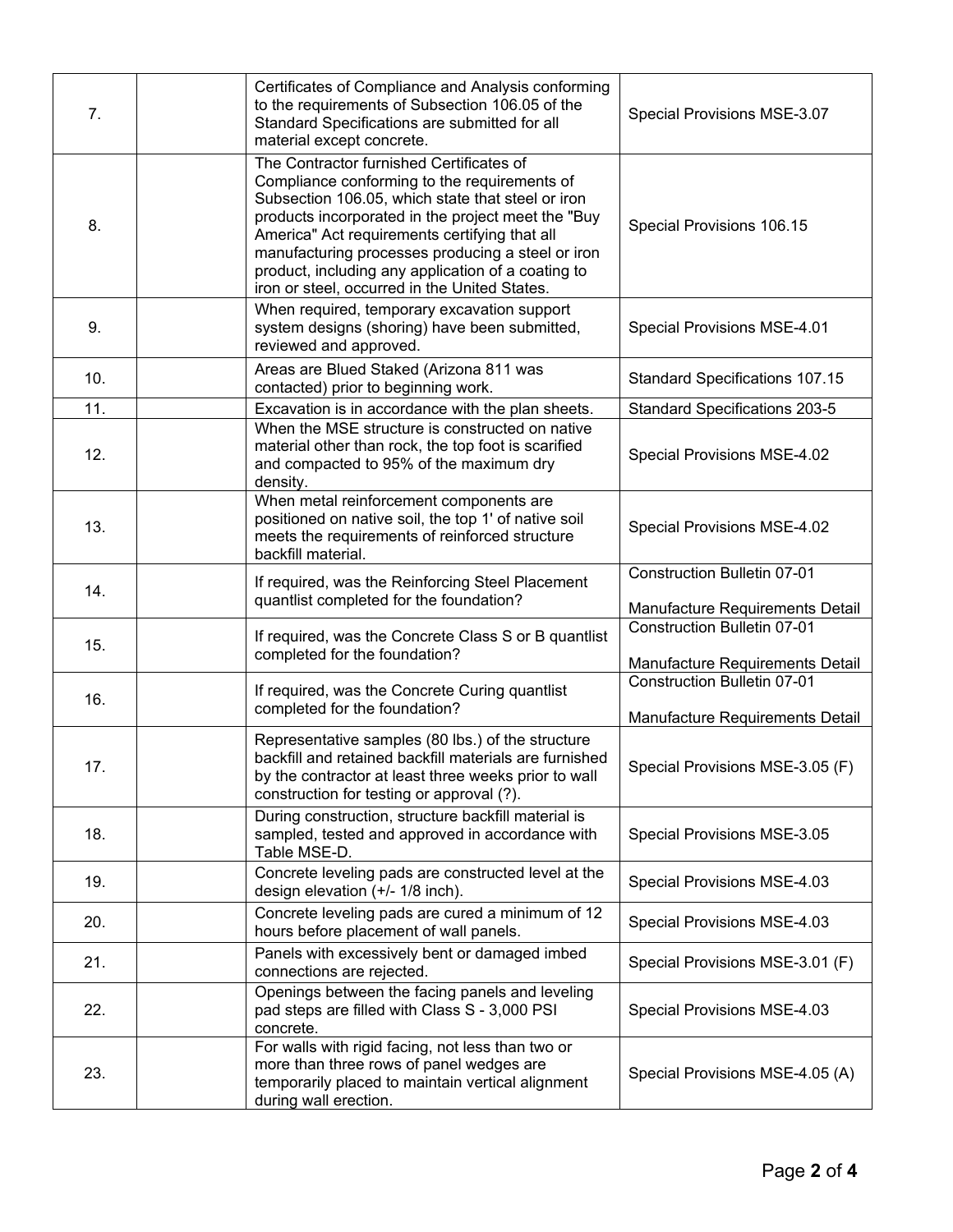| 7.  | Certificates of Compliance and Analysis conforming<br>to the requirements of Subsection 106.05 of the<br>Standard Specifications are submitted for all<br>material except concrete.                                                                                                                                                                                                                              | Special Provisions MSE-3.07                                           |
|-----|------------------------------------------------------------------------------------------------------------------------------------------------------------------------------------------------------------------------------------------------------------------------------------------------------------------------------------------------------------------------------------------------------------------|-----------------------------------------------------------------------|
| 8.  | The Contractor furnished Certificates of<br>Compliance conforming to the requirements of<br>Subsection 106.05, which state that steel or iron<br>products incorporated in the project meet the "Buy<br>America" Act requirements certifying that all<br>manufacturing processes producing a steel or iron<br>product, including any application of a coating to<br>iron or steel, occurred in the United States. | Special Provisions 106.15                                             |
| 9.  | When required, temporary excavation support<br>system designs (shoring) have been submitted,<br>reviewed and approved.                                                                                                                                                                                                                                                                                           | Special Provisions MSE-4.01                                           |
| 10. | Areas are Blued Staked (Arizona 811 was<br>contacted) prior to beginning work.                                                                                                                                                                                                                                                                                                                                   | <b>Standard Specifications 107.15</b>                                 |
| 11. | Excavation is in accordance with the plan sheets.                                                                                                                                                                                                                                                                                                                                                                | <b>Standard Specifications 203-5</b>                                  |
| 12. | When the MSE structure is constructed on native<br>material other than rock, the top foot is scarified<br>and compacted to 95% of the maximum dry<br>density.                                                                                                                                                                                                                                                    | Special Provisions MSE-4.02                                           |
| 13. | When metal reinforcement components are<br>positioned on native soil, the top 1' of native soil<br>meets the requirements of reinforced structure<br>backfill material.                                                                                                                                                                                                                                          | Special Provisions MSE-4.02                                           |
| 14. | If required, was the Reinforcing Steel Placement<br>quantlist completed for the foundation?                                                                                                                                                                                                                                                                                                                      | <b>Construction Bulletin 07-01</b><br>Manufacture Requirements Detail |
| 15. | If required, was the Concrete Class S or B quantlist<br>completed for the foundation?                                                                                                                                                                                                                                                                                                                            | <b>Construction Bulletin 07-01</b>                                    |
|     |                                                                                                                                                                                                                                                                                                                                                                                                                  | Manufacture Requirements Detail<br><b>Construction Bulletin 07-01</b> |
| 16. | If required, was the Concrete Curing quantlist<br>completed for the foundation?                                                                                                                                                                                                                                                                                                                                  | Manufacture Requirements Detail                                       |
| 17. | Representative samples (80 lbs.) of the structure<br>backfill and retained backfill materials are furnished<br>by the contractor at least three weeks prior to wall<br>construction for testing or approval (?).                                                                                                                                                                                                 | Special Provisions MSE-3.05 (F)                                       |
| 18. | During construction, structure backfill material is<br>sampled, tested and approved in accordance with<br>Table MSE-D.                                                                                                                                                                                                                                                                                           | Special Provisions MSE-3.05                                           |
| 19. | Concrete leveling pads are constructed level at the<br>design elevation (+/- 1/8 inch).                                                                                                                                                                                                                                                                                                                          | Special Provisions MSE-4.03                                           |
| 20. | Concrete leveling pads are cured a minimum of 12<br>hours before placement of wall panels.                                                                                                                                                                                                                                                                                                                       | Special Provisions MSE-4.03                                           |
| 21. | Panels with excessively bent or damaged imbed<br>connections are rejected.                                                                                                                                                                                                                                                                                                                                       | Special Provisions MSE-3.01 (F)                                       |
| 22. | Openings between the facing panels and leveling<br>pad steps are filled with Class S - 3,000 PSI<br>concrete.                                                                                                                                                                                                                                                                                                    | Special Provisions MSE-4.03                                           |
| 23. | For walls with rigid facing, not less than two or<br>more than three rows of panel wedges are<br>temporarily placed to maintain vertical alignment<br>during wall erection.                                                                                                                                                                                                                                      | Special Provisions MSE-4.05 (A)                                       |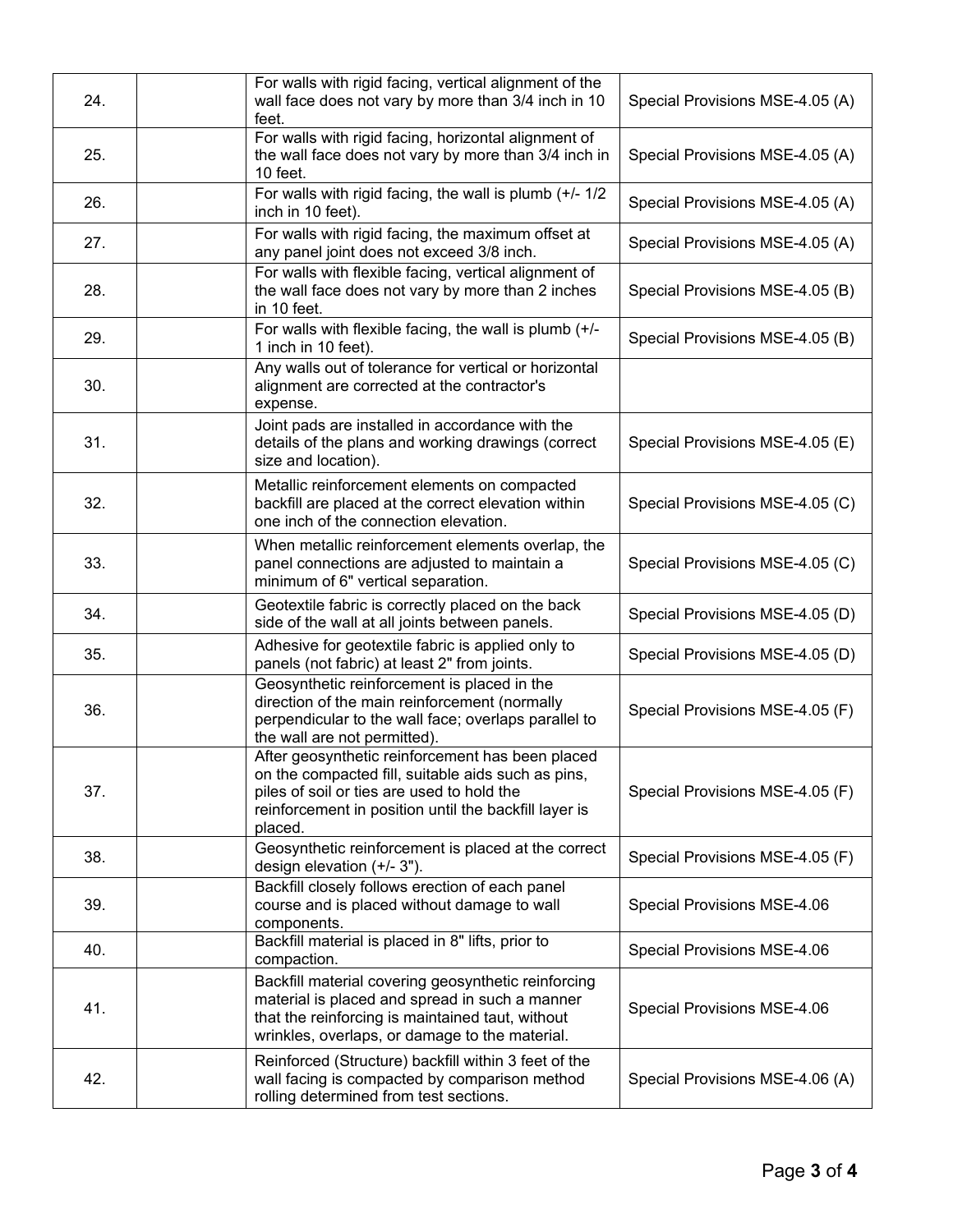| 24. | For walls with rigid facing, vertical alignment of the<br>wall face does not vary by more than 3/4 inch in 10<br>feet.                                                                                                   | Special Provisions MSE-4.05 (A) |
|-----|--------------------------------------------------------------------------------------------------------------------------------------------------------------------------------------------------------------------------|---------------------------------|
| 25. | For walls with rigid facing, horizontal alignment of<br>the wall face does not vary by more than 3/4 inch in<br>10 feet.                                                                                                 | Special Provisions MSE-4.05 (A) |
| 26. | For walls with rigid facing, the wall is plumb $(+/- 1/2)$<br>inch in 10 feet).                                                                                                                                          | Special Provisions MSE-4.05 (A) |
| 27. | For walls with rigid facing, the maximum offset at<br>any panel joint does not exceed 3/8 inch.                                                                                                                          | Special Provisions MSE-4.05 (A) |
| 28. | For walls with flexible facing, vertical alignment of<br>the wall face does not vary by more than 2 inches<br>in 10 feet.                                                                                                | Special Provisions MSE-4.05 (B) |
| 29. | For walls with flexible facing, the wall is plumb (+/-<br>1 inch in 10 feet).                                                                                                                                            | Special Provisions MSE-4.05 (B) |
| 30. | Any walls out of tolerance for vertical or horizontal<br>alignment are corrected at the contractor's<br>expense.                                                                                                         |                                 |
| 31. | Joint pads are installed in accordance with the<br>details of the plans and working drawings (correct<br>size and location).                                                                                             | Special Provisions MSE-4.05 (E) |
| 32. | Metallic reinforcement elements on compacted<br>backfill are placed at the correct elevation within<br>one inch of the connection elevation.                                                                             | Special Provisions MSE-4.05 (C) |
| 33. | When metallic reinforcement elements overlap, the<br>panel connections are adjusted to maintain a<br>minimum of 6" vertical separation.                                                                                  | Special Provisions MSE-4.05 (C) |
| 34. | Geotextile fabric is correctly placed on the back<br>side of the wall at all joints between panels.                                                                                                                      | Special Provisions MSE-4.05 (D) |
| 35. | Adhesive for geotextile fabric is applied only to<br>panels (not fabric) at least 2" from joints.                                                                                                                        | Special Provisions MSE-4.05 (D) |
| 36. | Geosynthetic reinforcement is placed in the<br>direction of the main reinforcement (normally<br>perpendicular to the wall face; overlaps parallel to<br>the wall are not permitted).                                     | Special Provisions MSE-4.05 (F) |
| 37. | After geosynthetic reinforcement has been placed<br>on the compacted fill, suitable aids such as pins,<br>piles of soil or ties are used to hold the<br>reinforcement in position until the backfill layer is<br>placed. | Special Provisions MSE-4.05 (F) |
| 38. | Geosynthetic reinforcement is placed at the correct<br>design elevation (+/- 3").                                                                                                                                        | Special Provisions MSE-4.05 (F) |
| 39. | Backfill closely follows erection of each panel<br>course and is placed without damage to wall<br>components.                                                                                                            | Special Provisions MSE-4.06     |
| 40. | Backfill material is placed in 8" lifts, prior to<br>compaction.                                                                                                                                                         | Special Provisions MSE-4.06     |
| 41. | Backfill material covering geosynthetic reinforcing<br>material is placed and spread in such a manner<br>that the reinforcing is maintained taut, without<br>wrinkles, overlaps, or damage to the material.              | Special Provisions MSE-4.06     |
| 42. | Reinforced (Structure) backfill within 3 feet of the<br>wall facing is compacted by comparison method<br>rolling determined from test sections.                                                                          | Special Provisions MSE-4.06 (A) |